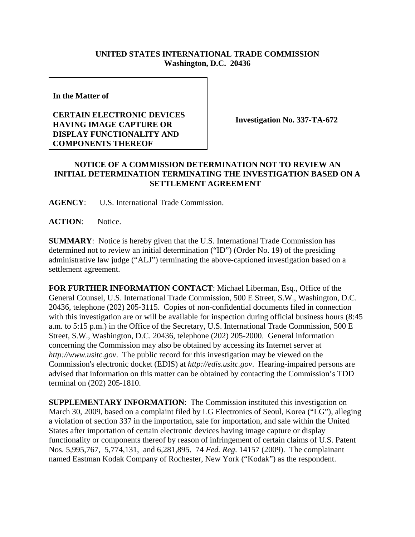## **UNITED STATES INTERNATIONAL TRADE COMMISSION Washington, D.C. 20436**

**In the Matter of** 

## **CERTAIN ELECTRONIC DEVICES HAVING IMAGE CAPTURE OR DISPLAY FUNCTIONALITY AND COMPONENTS THEREOF**

**Investigation No. 337-TA-672**

## **NOTICE OF A COMMISSION DETERMINATION NOT TO REVIEW AN INITIAL DETERMINATION TERMINATING THE INVESTIGATION BASED ON A SETTLEMENT AGREEMENT**

**AGENCY**: U.S. International Trade Commission.

**ACTION**: Notice.

**SUMMARY**: Notice is hereby given that the U.S. International Trade Commission has determined not to review an initial determination ("ID") (Order No. 19) of the presiding administrative law judge ("ALJ") terminating the above-captioned investigation based on a settlement agreement.

**FOR FURTHER INFORMATION CONTACT**: Michael Liberman, Esq., Office of the General Counsel, U.S. International Trade Commission, 500 E Street, S.W., Washington, D.C. 20436, telephone (202) 205-3115. Copies of non-confidential documents filed in connection with this investigation are or will be available for inspection during official business hours (8:45 a.m. to 5:15 p.m.) in the Office of the Secretary, U.S. International Trade Commission, 500 E Street, S.W., Washington, D.C. 20436, telephone (202) 205-2000. General information concerning the Commission may also be obtained by accessing its Internet server at *http://www.usitc.gov*. The public record for this investigation may be viewed on the Commission's electronic docket (EDIS) at *http://edis.usitc.gov*. Hearing-impaired persons are advised that information on this matter can be obtained by contacting the Commission's TDD terminal on (202) 205-1810.

**SUPPLEMENTARY INFORMATION:** The Commission instituted this investigation on March 30, 2009, based on a complaint filed by LG Electronics of Seoul, Korea ("LG"), alleging a violation of section 337 in the importation, sale for importation, and sale within the United States after importation of certain electronic devices having image capture or display functionality or components thereof by reason of infringement of certain claims of U.S. Patent Nos. 5,995,767, 5,774,131, and 6,281,895. 74 *Fed. Reg*. 14157 (2009). The complainant named Eastman Kodak Company of Rochester, New York ("Kodak") as the respondent.